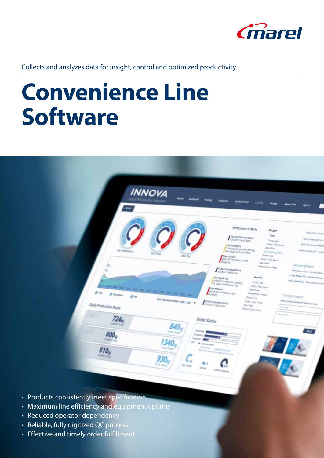

Collects and analyzes data for insight, control and optimized productivity

# **Convenience Line Software**



- Products consistently meet specification
- Maximum line efficiency and equipment uptime
- Reduced operator dependency
- Reliable, fully digitized QC process
- Effective and timely order fulfillment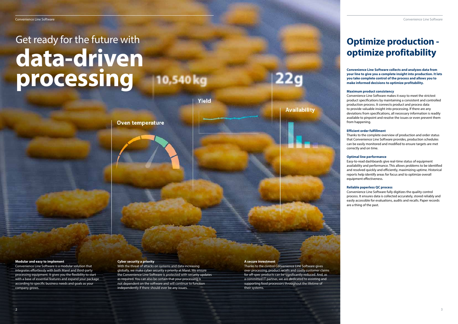### **Optimize production optimize profitability**

**Convenience Line Software collects and analyzes data from your line to give you a complete insight into production. It lets you take complete control of the process and allows you to make informed decisions to optimize profitability.**

#### **Maximum product consistency**

Convenience Line Software makes it easy to meet the strictest product specifications by maintaining a consistent and controlled production process. It connects product and process data to provide valuable insight into processing. If there are any deviations from specifications, all necessary information is readily available to pinpoint and resolve the issues or even prevent them from happening.

#### **Efficient order fulfillment**

## Get ready for the future with **data-driven processing** 10,540 kg

Yield

**Oven temperature** 

Thanks to the complete overview of production and order status that Convenience Line Software provides, production schedules can be easily monitored and modified to ensure targets are met correctly and on time.

#### **Optimal line performance**

Easy-to-read dashboards give real-time status of equipment availability and performance. This allows problems to be identified and resolved quickly and efficiently, maximizing uptime. Historical reports help identify areas for focus and to optimize overall equipment effectiveness.

#### **Reliable paperless QC process**

Convenience Line Software fully digitizes the quality control process. It ensures data is collected accurately, stored reliably and easily accessible for evaluations, audits and recalls. Paper records are a thing of the past.

#### **Modular and easy to implement**

Convenience Line Software is a modular solution that integrates effortlessly with both Marel and third-party processing equipment. It gives you the flexibility to start with a base of essential features and expand your package according to specific business needs and goals as your company grows.

### **Cyber security a priority**

With the threat of attacks on systems and data increasing globally, we make cyber security a priority at Marel. We ensure the Convenience Line Software is protected with security updates as required. You can also be certain that your processing is not dependent on the software and will continue to function independently if there should ever be any issues.

#### **A secure investment**

Thanks to the control Convenience Line Software gives over processing, product recalls and costly customer claims for off-spec products can be significantly reduced. And, as a committed IT partner, we are dedicated to assisting and supporting food processors throughout the lifetime of their systems.

**Availability**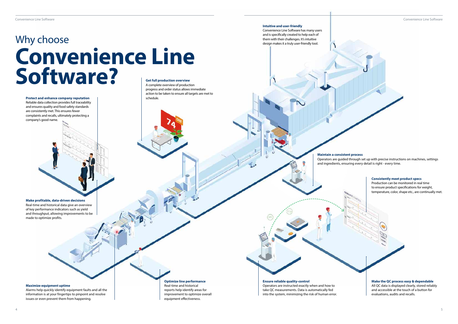**Make profitable, data-driven decisions** Real-time and historical data give an overview of key performance indicators such as yield and throughput, allowing improvements to be made to optimize profits.

**Protect and enhance company reputation** Reliable data collection provides full traceability and ensures quality and food safety standards are consistently met. This ensures fewer complaints and recalls, ultimately protecting a company's good name.

#### **Ensure reliable quality-control**

### Why choose **Convenience Line Software? Get full production overview**

Operators are instructed exactly when and how to take QC measurements. Data is automatically fed into the system, minimizing the risk of human error.

Convenience Line Software **Convenience Line Software** Convenience Line Software Convenience Line Software Convenience Line Software



A complete overview of production progress and order status allows immediate action to be taken to ensure all targets are met to schedule.

#### **Make the QC process easy & dependable**

All QC data is displayed clearly, stored reliably and accessible at the touch of a button for evaluations, audits and recalls.

#### **Consistently meet product specs**

Production can be monitored in real time to ensure product specifications for weight, temperature, color, shape etc., are continually met.

#### **Intuitive and user-friendly**

Convenience Line Software has many users and is specifically created to help each of them with their challenges. It's intuitive design makes it a truly user-friendly tool.

**Maintain a consistent process**

Operators are guided through set up with precise instructions on machines, settings and ingredients, ensuring every detail is right - every time.

#### **Optimize line performance**

Real-time and historical reports help identify areas for improvement to optimize overall equipment effectiveness.

#### **Maximize equipment uptime**

Alarms help quickly identify equipment faults and all the information is at your fingertips to pinpoint and resolve issues or even prevent them from happening.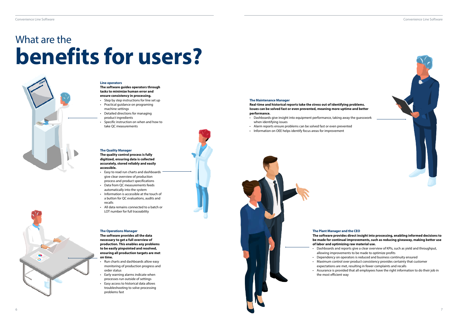



#### **Line operators**

#### **The software guides operators through tasks to minimize human error and ensure consistency in processing.**

- Step by step instructions for line set up
- Practical guidance on programing
- machine settings • Detailed directions for managing
- product ingredients
- Specific instruction on when and how to take QC measurements

#### **The Quality Manager**

**The quality control process is fully digitized, ensuring data is collected accurately, stored reliably and easily accessible.**

- Easy to read run charts and dashboards give clear overview of production process and product specifications
- Data from QC measurements feeds automatically into the system
- Information is accessible at the touch of a button for QC evaluations, audits and recalls
- All data remains connected to a batch or LOT number for full traceability

#### **The Operations Manager**

**The software provides all the data necessary to get a full overview of production. This enables any problems to be easily pinpointed and resolved, ensuring all production targets are met on time.**

- Run charts and dashboards allow easy monitoring of production progress and order status
- Early warning alarms indicate when processes run outside of settings
- Easy access to historical data allows troubleshooting to solve processing problems fast



**The Maintenance Manager**

**Real-time and historical reports take the stress out of identifying problems. Issues can be solved fast or even prevented, meaning more uptime and better performance.**

- Dashboards give insight into equipment performance, taking away the guesswork when identifying issues
- Alarm reports ensure problems can be solved fast or even prevented
- Information on OEE helps identify focus areas for improvement

#### **The Plant Manager and the CEO**

**The software provides direct insight into processing, enabling informed decisions to be made for continual improvements, such as reducing giveaway, making better use of labor and optimizing raw material use.**

• Dashboards and reports give a clear overview of KPIs, such as yield and throughput, allowing improvements to be made to optimize profits

• Dependency on operators is reduced and business continuity ensured

• Maximum control over product consistency provides certainty that customer

expectations are met, resulting in fewer complaints and recalls

• Assurance is provided that all employees have the right information to do their job in the most efficient way



# What are the **benefits for users?**